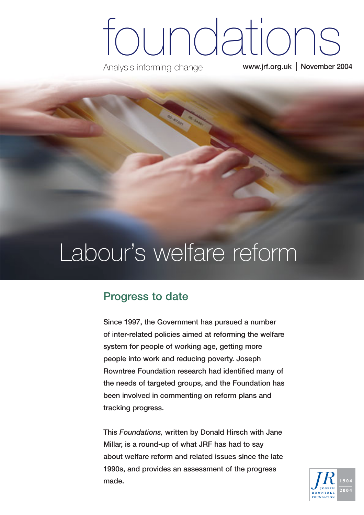# foundations

Analysis informing change

**www.jrf.org.uk November 2004**

## Labour's welfare reform

### **Progress to date**

**Since 1997, the Government has pursued a number of inter-related policies aimed at reforming the welfare system for people of working age, getting more people into work and reducing poverty. Joseph Rowntree Foundation research had identified many of the needs of targeted groups, and the Foundation has been involved in commenting on reform plans and tracking progress.** 

**This** *Foundations,* **written by Donald Hirsch with Jane Millar, is a round-up of what JRF has had to say about welfare reform and related issues since the late 1990s, and provides an assessment of the progress made.**

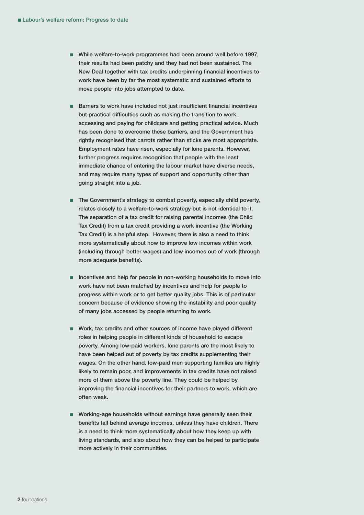- **While welfare-to-work programmes had been around well before 1997, their results had been patchy and they had not been sustained. The New Deal together with tax credits underpinning financial incentives to work have been by far the most systematic and sustained efforts to move people into jobs attempted to date.**
- **Barriers to work have included not just insufficient financial incentives but practical difficulties such as making the transition to work, accessing and paying for childcare and getting practical advice. Much has been done to overcome these barriers, and the Government has rightly recognised that carrots rather than sticks are most appropriate. Employment rates have risen, especially for lone parents. However, further progress requires recognition that people with the least immediate chance of entering the labour market have diverse needs, and may require many types of support and opportunity other than going straight into a job.**
- **The Government's strategy to combat poverty, especially child poverty, relates closely to a welfare-to-work strategy but is not identical to it. The separation of a tax credit for raising parental incomes (the Child Tax Credit) from a tax credit providing a work incentive (the Working Tax Credit) is a helpful step. However, there is also a need to think more systematically about how to improve low incomes within work (including through better wages) and low incomes out of work (through more adequate benefits).**
- **Incentives and help for people in non-working households to move into work have not been matched by incentives and help for people to progress within work or to get better quality jobs. This is of particular concern because of evidence showing the instability and poor quality of many jobs accessed by people returning to work.**
- Work, tax credits and other sources of income have played different **roles in helping people in different kinds of household to escape poverty. Among low-paid workers, lone parents are the most likely to have been helped out of poverty by tax credits supplementing their wages. On the other hand, low-paid men supporting families are highly likely to remain poor, and improvements in tax credits have not raised more of them above the poverty line. They could be helped by improving the financial incentives for their partners to work, which are often weak.**
- Working-age households without earnings have generally seen their **benefits fall behind average incomes, unless they have children. There is a need to think more systematically about how they keep up with living standards, and also about how they can be helped to participate more actively in their communities.**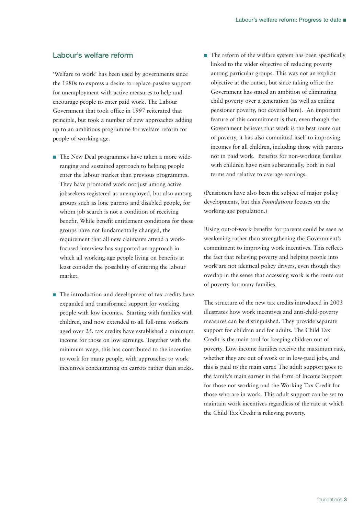#### **Labour's welfare reform**

'Welfare to work' has been used by governments since the 1980s to express a desire to replace passive support for unemployment with active measures to help and encourage people to enter paid work. The Labour Government that took office in 1997 reiterated that principle, but took a number of new approaches adding up to an ambitious programme for welfare reform for people of working age.

- The New Deal programmes have taken a more wideranging and sustained approach to helping people enter the labour market than previous programmes. They have promoted work not just among active jobseekers registered as unemployed, but also among groups such as lone parents and disabled people, for whom job search is not a condition of receiving benefit. While benefit entitlement conditions for these groups have not fundamentally changed, the requirement that all new claimants attend a workfocused interview has supported an approach in which all working-age people living on benefits at least consider the possibility of entering the labour market.
- The introduction and development of tax credits have expanded and transformed support for working people with low incomes. Starting with families with children, and now extended to all full-time workers aged over 25, tax credits have established a minimum income for those on low earnings. Together with the minimum wage, this has contributed to the incentive to work for many people, with approaches to work incentives concentrating on carrots rather than sticks.

■ The reform of the welfare system has been specifically linked to the wider objective of reducing poverty among particular groups. This was not an explicit objective at the outset, but since taking office the Government has stated an ambition of eliminating child poverty over a generation (as well as ending pensioner poverty, not covered here). An important feature of this commitment is that, even though the Government believes that work is the best route out of poverty, it has also committed itself to improving incomes for all children, including those with parents not in paid work. Benefits for non-working families with children have risen substantially, both in real terms and relative to average earnings.

(Pensioners have also been the subject of major policy developments, but this *Foundations* focuses on the working-age population.)

Rising out-of-work benefits for parents could be seen as weakening rather than strengthening the Government's commitment to improving work incentives. This reflects the fact that relieving poverty and helping people into work are not identical policy drivers, even though they overlap in the sense that accessing work is the route out of poverty for many families.

The structure of the new tax credits introduced in 2003 illustrates how work incentives and anti-child-poverty measures can be distinguished. They provide separate support for children and for adults. The Child Tax Credit is the main tool for keeping children out of poverty. Low-income families receive the maximum rate, whether they are out of work or in low-paid jobs, and this is paid to the main carer. The adult support goes to the family's main earner in the form of Income Support for those not working and the Working Tax Credit for those who are in work. This adult support can be set to maintain work incentives regardless of the rate at which the Child Tax Credit is relieving poverty.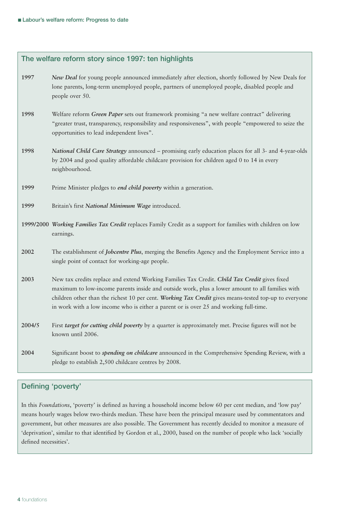| The welfare reform story since 1997: ten highlights |                                                                                                                                                                                                                                                                                                                                                                                                   |
|-----------------------------------------------------|---------------------------------------------------------------------------------------------------------------------------------------------------------------------------------------------------------------------------------------------------------------------------------------------------------------------------------------------------------------------------------------------------|
| 1997                                                | New Deal for young people announced immediately after election, shortly followed by New Deals for<br>lone parents, long-term unemployed people, partners of unemployed people, disabled people and<br>people over 50.                                                                                                                                                                             |
| 1998                                                | Welfare reform Green Paper sets out framework promising "a new welfare contract" delivering<br>"greater trust, transparency, responsibility and responsiveness", with people "empowered to seize the<br>opportunities to lead independent lives".                                                                                                                                                 |
| 1998                                                | National Child Care Strategy announced - promising early education places for all 3- and 4-year-olds<br>by 2004 and good quality affordable childcare provision for children aged 0 to 14 in every<br>neighbourhood.                                                                                                                                                                              |
| 1999                                                | Prime Minister pledges to <i>end child poverty</i> within a generation.                                                                                                                                                                                                                                                                                                                           |
| 1999                                                | Britain's first National Minimum Wage introduced.                                                                                                                                                                                                                                                                                                                                                 |
|                                                     | 1999/2000 Working Families Tax Credit replaces Family Credit as a support for families with children on low<br>earnings.                                                                                                                                                                                                                                                                          |
| 2002                                                | The establishment of Jobcentre Plus, merging the Benefits Agency and the Employment Service into a<br>single point of contact for working-age people.                                                                                                                                                                                                                                             |
| 2003                                                | New tax credits replace and extend Working Families Tax Credit. Child Tax Credit gives fixed<br>maximum to low-income parents inside and outside work, plus a lower amount to all families with<br>children other than the richest 10 per cent. Working Tax Credit gives means-tested top-up to everyone<br>in work with a low income who is either a parent or is over 25 and working full-time. |
| 2004/5                                              | First target for cutting child poverty by a quarter is approximately met. Precise figures will not be<br>known until 2006.                                                                                                                                                                                                                                                                        |
| 2004                                                | Significant boost to <i>spending on childcare</i> announced in the Comprehensive Spending Review, with a<br>pledge to establish 2,500 childcare centres by 2008.                                                                                                                                                                                                                                  |

#### **Defining 'poverty'**

In this *Foundations*, 'poverty' is defined as having a household income below 60 per cent median, and 'low pay' means hourly wages below two-thirds median. These have been the principal measure used by commentators and government, but other measures are also possible. The Government has recently decided to monitor a measure of 'deprivation', similar to that identified by Gordon et al., 2000, based on the number of people who lack 'socially defined necessities'.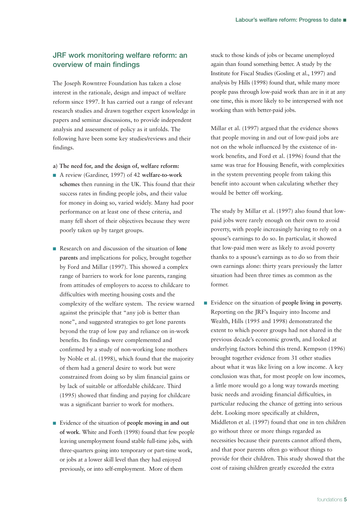#### **JRF work monitoring welfare reform: an overview of main findings**

The Joseph Rowntree Foundation has taken a close interest in the rationale, design and impact of welfare reform since 1997. It has carried out a range of relevant research studies and drawn together expert knowledge in papers and seminar discussions, to provide independent analysis and assessment of policy as it unfolds. The following have been some key studies/reviews and their findings.

- **a) The need for, and the design of, welfare reform:**
- A review (Gardiner, 1997) of 42 welfare-to-work **schemes** then running in the UK. This found that their success rates in finding people jobs, and their value for money in doing so, varied widely. Many had poor performance on at least one of these criteria, and many fell short of their objectives because they were poorly taken up by target groups.
- Research on and discussion of the situation of **lone parents** and implications for policy, brought together by Ford and Millar (1997). This showed a complex range of barriers to work for lone parents, ranging from attitudes of employers to access to childcare to difficulties with meeting housing costs and the complexity of the welfare system. The review warned against the principle that "any job is better than none", and suggested strategies to get lone parents beyond the trap of low pay and reliance on in-work benefits. Its findings were complemented and confirmed by a study of non-working lone mothers by Noble et al. (1998), which found that the majority of them had a general desire to work but were constrained from doing so by slim financial gains or by lack of suitable or affordable childcare. Third (1995) showed that finding and paying for childcare was a significant barrier to work for mothers.
- Evidence of the situation of **people moving in and out of work**. White and Forth (1998) found that few people leaving unemployment found stable full-time jobs, with three-quarters going into temporary or part-time work, or jobs at a lower skill level than they had enjoyed previously, or into self-employment. More of them

stuck to those kinds of jobs or became unemployed again than found something better. A study by the Institute for Fiscal Studies (Gosling et al., 1997) and analysis by Hills (1998) found that, while many more people pass through low-paid work than are in it at any one time, this is more likely to be interspersed with not working than with better-paid jobs.

Millar et al. (1997) argued that the evidence shows that people moving in and out of low-paid jobs are not on the whole influenced by the existence of inwork benefits, and Ford et al. (1996) found that the same was true for Housing Benefit, with complexities in the system preventing people from taking this benefit into account when calculating whether they would be better off working.

The study by Millar et al. (1997) also found that lowpaid jobs were rarely enough on their own to avoid poverty, with people increasingly having to rely on a spouse's earnings to do so. In particular, it showed that low-paid men were as likely to avoid poverty thanks to a spouse's earnings as to do so from their own earnings alone: thirty years previously the latter situation had been three times as common as the former.

■ Evidence on the situation of **people living in poverty.** Reporting on the JRF's Inquiry into Income and Wealth, Hills (1995 and 1998) demonstrated the extent to which poorer groups had not shared in the previous decade's economic growth, and looked at underlying factors behind this trend. Kempson (1996) brought together evidence from 31 other studies about what it was like living on a low income. A key conclusion was that, for most people on low incomes, a little more would go a long way towards meeting basic needs and avoiding financial difficulties, in particular reducing the chance of getting into serious debt. Looking more specifically at children, Middleton et al. (1997) found that one in ten children go without three or more things regarded as necessities because their parents cannot afford them, and that poor parents often go without things to provide for their children. This study showed that the cost of raising children greatly exceeded the extra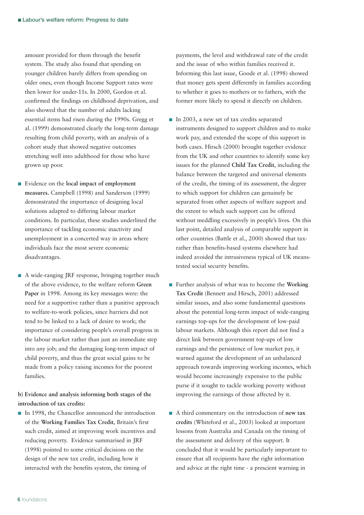amount provided for them through the benefit system. The study also found that spending on younger children barely differs from spending on older ones, even though Income Support rates were then lower for under-11s. In 2000, Gordon et al. confirmed the findings on childhood deprivation, and also showed that the number of adults lacking essential items had risen during the 1990s. Gregg et al. (1999) demonstrated clearly the long-term damage resulting from child poverty, with an analysis of a cohort study that showed negative outcomes stretching well into adulthood for those who have grown up poor.

- Evidence on the **local impact of employment measures.** Campbell (1998) and Sanderson (1999) demonstrated the importance of designing local solutions adapted to differing labour market conditions. In particular, these studies underlined the importance of tackling economic inactivity and unemployment in a concerted way in areas where individuals face the most severe economic disadvantages.
- A wide-ranging JRF response, bringing together much of the above evidence, to the welfare reform **Green Paper** in 1998. Among its key messages were: the need for a supportive rather than a punitive approach to welfare-to-work policies, since barriers did not tend to be linked to a lack of desire to work; the importance of considering people's overall progress in the labour market rather than just an immediate step into any job; and the damaging long-term impact of child poverty, and thus the great social gains to be made from a policy raising incomes for the poorest families.

**b) Evidence and analysis informing both stages of the introduction of tax credits:**

■ In 1998, the Chancellor announced the introduction of the **Working Families Tax Credit**, Britain's first such credit, aimed at improving work incentives and reducing poverty. Evidence summarised in JRF (1998) pointed to some critical decisions on the design of the new tax credit, including how it interacted with the benefits system, the timing of

payments, the level and withdrawal rate of the credit and the issue of who within families received it. Informing this last issue, Goode et al. (1998) showed that money gets spent differently in families according to whether it goes to mothers or to fathers, with the former more likely to spend it directly on children.

- In 2003, a new set of tax credits separated instruments designed to support children and to make work pay, and extended the scope of this support in both cases. Hirsch (2000) brought together evidence from the UK and other countries to identify some key issues for the planned **Child Tax Credit**, including the balance between the targeted and universal elements of the credit, the timing of its assessment, the degree to which support for children can genuinely be separated from other aspects of welfare support and the extent to which such support can be offered without meddling excessively in people's lives. On this last point, detailed analysis of comparable support in other countries (Battle et al., 2000) showed that taxrather than benefits-based systems elsewhere had indeed avoided the intrusiveness typical of UK meanstested social security benefits.
- Further analysis of what was to become the **Working Tax Credit** (Bennett and Hirsch, 2001) addressed similar issues, and also some fundamental questions about the potential long-term impact of wide-ranging earnings top-ups for the development of low-paid labour markets. Although this report did not find a direct link between government top-ups of low earnings and the persistence of low market pay, it warned against the development of an unbalanced approach towards improving working incomes, which would become increasingly expensive to the public purse if it sought to tackle working poverty without improving the earnings of those affected by it.
- A third commentary on the introduction of **new tax credits** (Whiteford et al., 2003) looked at important lessons from Australia and Canada on the timing of the assessment and delivery of this support. It concluded that it would be particularly important to ensure that all recipients have the right information and advice at the right time - a prescient warning in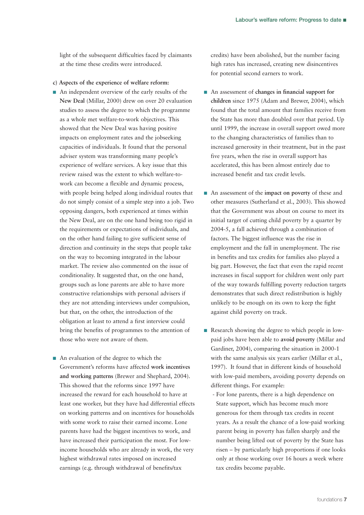light of the subsequent difficulties faced by claimants at the time these credits were introduced.

- **c) Aspects of the experience of welfare reform:**
- An independent overview of the early results of the **New Deal** (Millar, 2000) drew on over 20 evaluation studies to assess the degree to which the programme as a whole met welfare-to-work objectives. This showed that the New Deal was having positive impacts on employment rates and the jobseeking capacities of individuals. It found that the personal adviser system was transforming many people's experience of welfare services. A key issue that this review raised was the extent to which welfare-towork can become a flexible and dynamic process, with people being helped along individual routes that do not simply consist of a simple step into a job. Two opposing dangers, both experienced at times within the New Deal, are on the one hand being too rigid in the requirements or expectations of individuals, and on the other hand failing to give sufficient sense of direction and continuity in the steps that people take on the way to becoming integrated in the labour market. The review also commented on the issue of conditionality. It suggested that, on the one hand, groups such as lone parents are able to have more constructive relationships with personal advisers if they are not attending interviews under compulsion, but that, on the other, the introduction of the obligation at least to attend a first interview could bring the benefits of programmes to the attention of those who were not aware of them.
- An evaluation of the degree to which the Government's reforms have affected **work incentives and working patterns** (Brewer and Shephard, 2004). This showed that the reforms since 1997 have increased the reward for each household to have at least one worker, but they have had differential effects on working patterns and on incentives for households with some work to raise their earned income. Lone parents have had the biggest incentives to work, and have increased their participation the most. For lowincome households who are already in work, the very highest withdrawal rates imposed on increased earnings (e.g. through withdrawal of benefits/tax

credits) have been abolished, but the number facing high rates has increased, creating new disincentives for potential second earners to work.

- An assessment of **changes** in financial support for **children** since 1975 (Adam and Brewer, 2004), which found that the total amount that families receive from the State has more than doubled over that period. Up until 1999, the increase in overall support owed more to the changing characteristics of families than to increased generosity in their treatment, but in the past five years, when the rise in overall support has accelerated, this has been almost entirely due to increased benefit and tax credit levels.
- An assessment of the **impact on poverty** of these and other measures (Sutherland et al., 2003). This showed that the Government was about on course to meet its initial target of cutting child poverty by a quarter by 2004-5, a fall achieved through a combination of factors. The biggest influence was the rise in employment and the fall in unemployment. The rise in benefits and tax credits for families also played a big part. However, the fact that even the rapid recent increases in fiscal support for children went only part of the way towards fulfilling poverty reduction targets demonstrates that such direct redistribution is highly unlikely to be enough on its own to keep the fight against child poverty on track.
- Research showing the degree to which people in lowpaid jobs have been able to **avoid poverty** (Millar and Gardiner, 2004), comparing the situation in 2000-1 with the same analysis six years earlier (Millar et al., 1997). It found that in different kinds of household with low-paid members, avoiding poverty depends on different things. For example:
	- For lone parents, there is a high dependence on State support, which has become much more generous for them through tax credits in recent years. As a result the chance of a low-paid working parent being in poverty has fallen sharply and the number being lifted out of poverty by the State has risen – by particularly high proportions if one looks only at those working over 16 hours a week where tax credits become payable.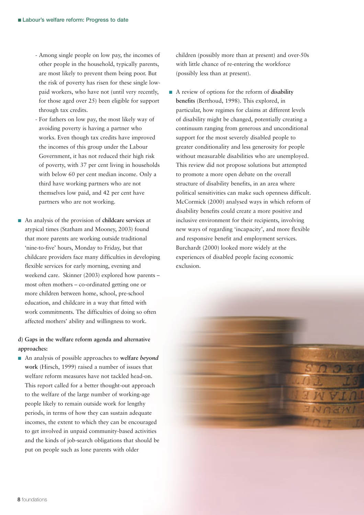- Among single people on low pay, the incomes of other people in the household, typically parents, are most likely to prevent them being poor. But the risk of poverty has risen for these single lowpaid workers, who have not (until very recently, for those aged over 25) been eligible for support through tax credits.
- For fathers on low pay, the most likely way of avoiding poverty is having a partner who works. Even though tax credits have improved the incomes of this group under the Labour Government, it has not reduced their high risk of poverty, with 37 per cent living in households with below 60 per cent median income. Only a third have working partners who are not themselves low paid, and 42 per cent have partners who are not working.
- An analysis of the provision of **childcare services** at atypical times (Statham and Mooney, 2003) found that more parents are working outside traditional 'nine-to-five' hours, Monday to Friday, but that childcare providers face many difficulties in developing flexible services for early morning, evening and weekend care. Skinner (2003) explored how parents – most often mothers – co-ordinated getting one or more children between home, school, pre-school education, and childcare in a way that fitted with work commitments. The difficulties of doing so often affected mothers' ability and willingness to work.

**d) Gaps in the welfare reform agenda and alternative approaches:**

■ An analysis of possible approaches to welfare *beyond* **work** (Hirsch, 1999) raised a number of issues that welfare reform measures have not tackled head-on. This report called for a better thought-out approach to the welfare of the large number of working-age people likely to remain outside work for lengthy periods, in terms of how they can sustain adequate incomes, the extent to which they can be encouraged to get involved in unpaid community-based activities and the kinds of job-search obligations that should be put on people such as lone parents with older

children (possibly more than at present) and over-50s with little chance of re-entering the workforce (possibly less than at present).

■ A review of options for the reform of **disability benefits** (Berthoud, 1998). This explored, in particular, how regimes for claims at different levels of disability might be changed, potentially creating a continuum ranging from generous and unconditional support for the most severely disabled people to greater conditionality and less generosity for people without measurable disabilities who are unemployed. This review did not propose solutions but attempted to promote a more open debate on the overall structure of disability benefits, in an area where political sensitivities can make such openness difficult. McCormick (2000) analysed ways in which reform of disability benefits could create a more positive and inclusive environment for their recipients, involving new ways of regarding 'incapacity', and more flexible and responsive benefit and employment services. Burchardt (2000) looked more widely at the experiences of disabled people facing economic exclusion.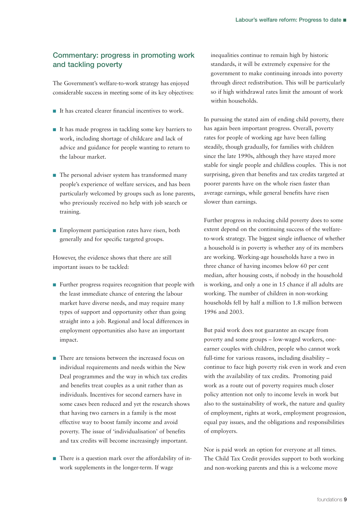#### **Commentary: progress in promoting work and tackling poverty**

The Government's welfare-to-work strategy has enjoyed considerable success in meeting some of its key objectives:

- It has created clearer financial incentives to work.
- It has made progress in tackling some key barriers to work, including shortage of childcare and lack of advice and guidance for people wanting to return to the labour market.
- The personal adviser system has transformed many people's experience of welfare services, and has been particularly welcomed by groups such as lone parents, who previously received no help with job search or training.
- Employment participation rates have risen, both generally and for specific targeted groups.

However, the evidence shows that there are still important issues to be tackled:

- Further progress requires recognition that people with the least immediate chance of entering the labour market have diverse needs, and may require many types of support and opportunity other than going straight into a job. Regional and local differences in employment opportunities also have an important impact.
- There are tensions between the increased focus on individual requirements and needs within the New Deal programmes and the way in which tax credits and benefits treat couples as a unit rather than as individuals. Incentives for second earners have in some cases been reduced and yet the research shows that having two earners in a family is the most effective way to boost family income and avoid poverty. The issue of 'individualisation' of benefits and tax credits will become increasingly important.
- There is a question mark over the affordability of inwork supplements in the longer-term. If wage

inequalities continue to remain high by historic standards, it will be extremely expensive for the government to make continuing inroads into poverty through direct redistribution. This will be particularly so if high withdrawal rates limit the amount of work within households.

In pursuing the stated aim of ending child poverty, there has again been important progress. Overall, poverty rates for people of working age have been falling steadily, though gradually, for families with children since the late 1990s, although they have stayed more stable for single people and childless couples. This is not surprising, given that benefits and tax credits targeted at poorer parents have on the whole risen faster than average earnings, while general benefits have risen slower than earnings.

Further progress in reducing child poverty does to some extent depend on the continuing success of the welfareto-work strategy. The biggest single influence of whether a household is in poverty is whether any of its members are working. Working-age households have a two in three chance of having incomes below 60 per cent median, after housing costs, if nobody in the household is working, and only a one in 15 chance if all adults are working. The number of children in non-working households fell by half a million to 1.8 million between 1996 and 2003.

But paid work does not guarantee an escape from poverty and some groups – low-waged workers, oneearner couples with children, people who cannot work full-time for various reasons, including disability – continue to face high poverty risk even in work and even with the availability of tax credits. Promoting paid work as a route out of poverty requires much closer policy attention not only to income levels in work but also to the sustainability of work, the nature and quality of employment, rights at work, employment progression, equal pay issues, and the obligations and responsibilities of employers.

Nor is paid work an option for everyone at all times. The Child Tax Credit provides support to both working and non-working parents and this is a welcome move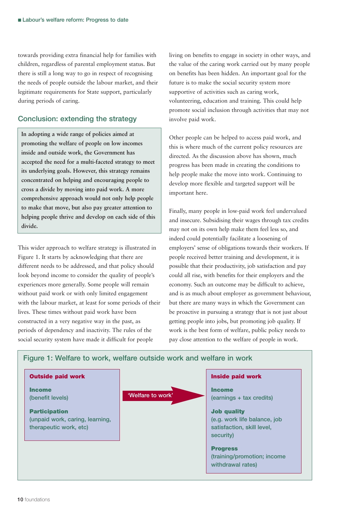towards providing extra financial help for families with children, regardless of parental employment status. But there is still a long way to go in respect of recognising the needs of people outside the labour market, and their legitimate requirements for State support, particularly during periods of caring.

#### **Conclusion: extending the strategy**

**In adopting a wide range of policies aimed at promoting the welfare of people on low incomes inside and outside work, the Government has accepted the need for a multi-faceted strategy to meet its underlying goals. However, this strategy remains concentrated on helping and encouraging people to cross a divide by moving into paid work. A more comprehensive approach would not only help people to make that move, but also pay greater attention to helping people thrive and develop on each side of this divide.** 

This wider approach to welfare strategy is illustrated in Figure 1. It starts by acknowledging that there are different needs to be addressed, and that policy should look beyond income to consider the quality of people's experiences more generally. Some people will remain without paid work or with only limited engagement with the labour market, at least for some periods of their lives. These times without paid work have been constructed in a very negative way in the past, as periods of dependency and inactivity. The rules of the social security system have made it difficult for people

living on benefits to engage in society in other ways, and the value of the caring work carried out by many people on benefits has been hidden. An important goal for the future is to make the social security system more supportive of activities such as caring work, volunteering, education and training. This could help promote social inclusion through activities that may not involve paid work.

Other people can be helped to access paid work, and this is where much of the current policy resources are directed. As the discussion above has shown, much progress has been made in creating the conditions to help people make the move into work. Continuing to develop more flexible and targeted support will be important here.

Finally, many people in low-paid work feel undervalued and insecure. Subsidising their wages through tax credits may not on its own help make them feel less so, and indeed could potentially facilitate a loosening of employers' sense of obligations towards their workers. If people received better training and development, it is possible that their productivity, job satisfaction and pay could all rise, with benefits for their employers and the economy. Such an outcome may be difficult to achieve, and is as much about employer as government behaviour, but there are many ways in which the Government can be proactive in pursuing a strategy that is not just about getting people into jobs, but promoting job quality. If work is the best form of welfare, public policy needs to pay close attention to the welfare of people in work.



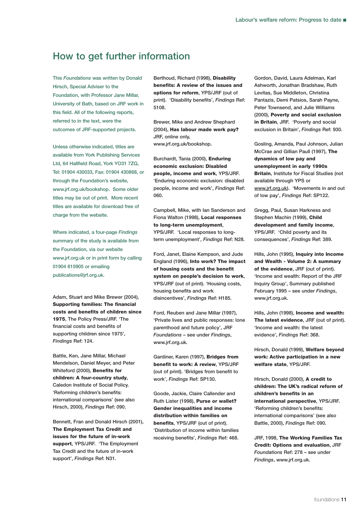#### **How to get further information**

**This** *Foundations* **was written by Donald Hirsch, Special Adviser to the Foundation, with Professor Jane Millar, University of Bath, based on JRF work in this field. All of the following reports, referred to in the text, were the outcomes of JRF-supported projects.**

**Unless otherwise indicated, titles are available from York Publishing Services Ltd, 64 Hallfield Road, York YO31 7ZQ, Tel: 01904 430033, Fax: 01904 430868, or through the Foundation's website, www.jrf.org.uk/bookshop. Some older titles may be out of print. More recent titles are available for download free of charge from the website.** 

**Where indicated, a four-page** *Findings* **summary of the study is available from the Foundation, via our website www.jrf.org.uk or in print form by calling 01904 615905 or emailing publications@jrf.org.uk.**

**Adam, Stuart and Mike Brewer (2004), Supporting families: The financial costs and benefits of children since 1975, The Policy Press/JRF. 'The financial costs and benefits of supporting children since 1975',** *Findings* **Ref: 124.**

**Battle, Ken, Jane Millar, Michael Mendelson, Daniel Meyer, and Peter Whiteford (2000), Benefits for children: A four-country study, Caledon Institute of Social Policy. 'Reforming children's benefits: international comparisons' (see also Hirsch, 2000),** *Findings* **Ref: 090.**

**Bennett, Fran and Donald Hirsch (2001), The Employment Tax Credit and issues for the future of in-work support, YPS/JRF. 'The Employment Tax Credit and the future of in-work support',** *Findings* **Ref: N31.**

**Berthoud, Richard (1998), Disability benefits: A review of the issues and options for reform, YPS/JRF (out of print). 'Disability benefits',** *Findings* **Ref: 5108.**

**Brewer, Mike and Andrew Shephard (2004), Has labour made work pay? JRF, online only, www.jrf.org.uk/bookshop.**

**Burchardt, Tania (2000), Enduring economic exclusion: Disabled people, income and work, YPS/JRF. 'Enduring economic exclusion: disabled people, income and work',** *Findings* **Ref: 060.** 

**Campbell, Mike, with Ian Sanderson and Fiona Walton (1998), Local responses to long-term unemployment, YPS/JRF. 'Local responses to longterm unemployment',** *Findings* **Ref: N28.**

**Ford, Janet, Elaine Kempson, and Jude England (1996), Into work? The impact of housing costs and the benefit system on people's decision to work, YPS/JRF (out of print). 'Housing costs, housing benefits and work disincentives',** *Findings* **Ref: H185.**

**Ford, Reuben and Jane Millar (1997), 'Private lives and public responses: lone parenthood and future policy', JRF** *Foundations* **– see under** *Findings***, www.jrf.org.uk***.*

**Gardiner, Karen (1997), Bridges from benefit to work: A review, YPS/JRF (out of print). 'Bridges from benefit to work',** *Findings* **Ref: SP130.**

**Goode, Jackie, Claire Callender and Ruth Lister (1998), Purse or wallet? Gender inequalities and income distribution within families on benefits, YPS/JRF (out of print). 'Distribution of income within families receiving benefits',** *Findings* **Ref: 468.**

**Gordon, David, Laura Adelman, Karl Ashworth, Jonathan Bradshaw, Ruth Levitas, Sue Middleton, Christina Pantazis, Demi Patsios, Sarah Payne, Peter Townsend, and Julie Williams (2000), Poverty and social exclusion in Britain, JRF. 'Poverty and social exclusion in Britain',** *Findings* **Ref: 930.**

**Gosling, Amanda, Paul Johnson, Julian McCrae and Gillian Paull (1997), The dynamics of low pay and unemployment in early 1990s Britain, Institute for Fiscal Studies (not available through YPS or www.jrf.org.uk). 'Movements in and out of low pay',** *Findings* **Ref: SP122.** 

**Gregg, Paul, Susan Harkness and Stephen Machin (1999), Child development and family income, YPS/JRF. 'Child poverty and its consequences',** *Findings* **Ref: 389.**

**Hills, John (1995), Inquiry into Income and Wealth - Volume 2: A summary of the evidence, JRF (out of print). 'Income and wealth: Report of the JRF Inquiry Group', Summary published February 1995 – see under** *Findings***, www.jrf.org.uk.**

**Hills, John (1998), Income and wealth: The latest evidence, JRF (out of print). 'Income and wealth: the latest evidence',** *Findings* **Ref: 368.** 

**Hirsch, Donald (1999), Welfare beyond work: Active participation in a new welfare state, YPS/JRF.** 

**Hirsch, Donald (2000), A credit to children: The UK's radical reform of children's benefits in an international perspective, YPS/JRF. 'Reforming children's benefits: international comparisons' (see also Battle, 2000),** *Findings* **Ref: 090.**

**JRF, 1998, The Working Families Tax Credit: Options and evaluation, JRF** *Foundations* **Ref: 278 – see under** *Findings***, www.jrf.org.uk.**